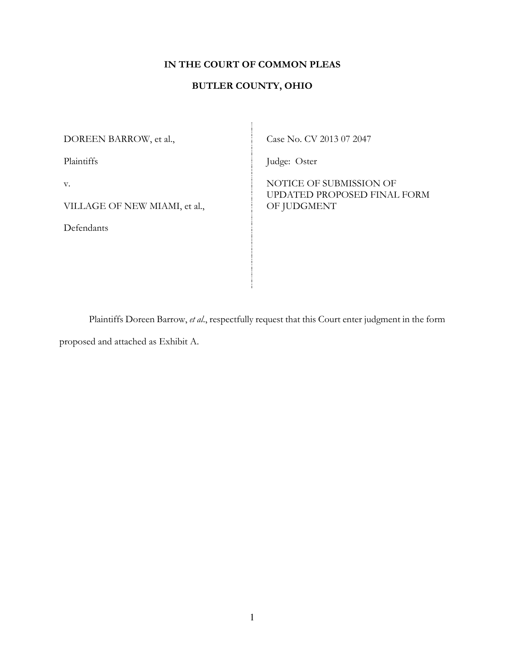# **IN THE COURT OF COMMON PLEAS**

## **BUTLER COUNTY, OHIO**

DOREEN BARROW, et al.,

Plaintiffs

v.

VILLAGE OF NEW MIAMI, et al.,

Defendants

Case No. CV 2013 07 2047

Judge: Oster

NOTICE OF SUBMISSION OF UPDATED PROPOSED FINAL FORM OF JUDGMENT

Plaintiffs Doreen Barrow, *et al*., respectfully request that this Court enter judgment in the form proposed and attached as Exhibit A.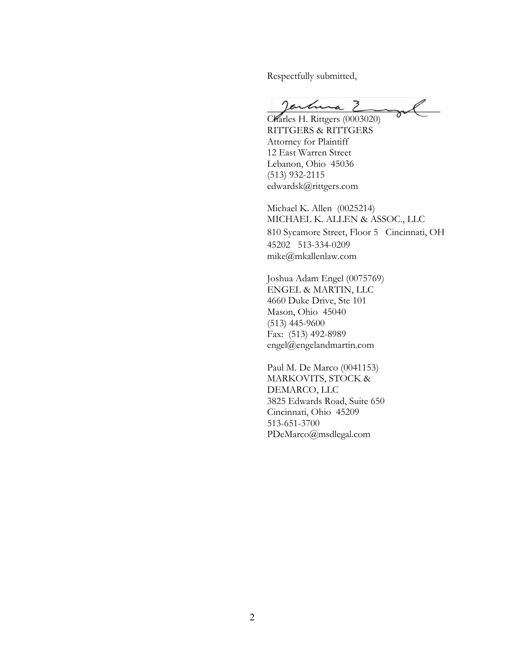Respectfully submitted,

jartuma 2

Charles H. Rittgers (0003020) RITTGERS & RITTGERS Attorney for Plaintiff 12 East Warren Street Lebanon, Ohio 45036 (513) 932-2115 edwardsk@rittgers.com

Michael K. Allen (0025214) MICHAEL K. ALLEN & ASSOC., LLC 810 Sycamore Street, Floor 5 Cincinnati, OH 45202 513-334-0209 mike@mkallenlaw.com

Joshua Adam Engel (0075769) ENGEL & MARTIN, LLC 4660 Duke Drive, Ste 101 Mason, Ohio 45040 (513) 445-9600 Fax: (513) 492-8989 engel@engelandmartin.com

Paul M. De Marco (0041153) MARKOVITS, STOCK & DEMARCO, LLC 3825 Edwards Road, Suite 650 Cincinnati, Ohio 45209 513-651-3700 PDeMarco@msdlegal.com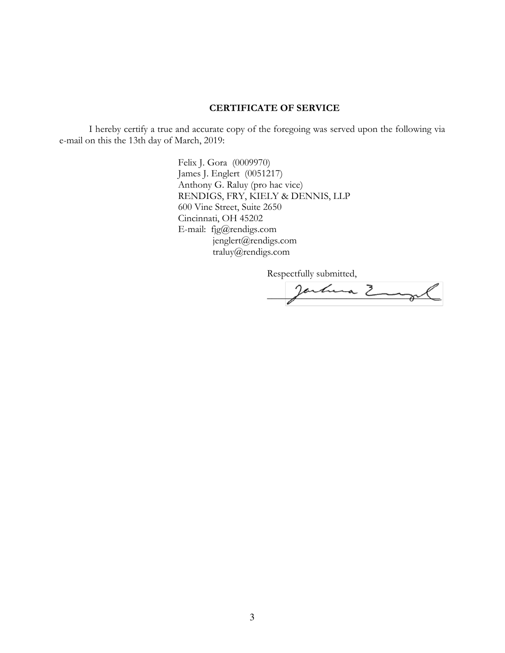#### **CERTIFICATE OF SERVICE**

I hereby certify a true and accurate copy of the foregoing was served upon the following via e-mail on this the 13th day of March, 2019:

> Felix J. Gora (0009970) James J. Englert (0051217) Anthony G. Raluy (pro hac vice) RENDIGS, FRY, KIELY & DENNIS, LLP 600 Vine Street, Suite 2650 Cincinnati, OH 45202 E-mail: fjg@rendigs.com jenglert@rendigs.com traluy@rendigs.com

> > Respectfully submitted,

Jartuna Z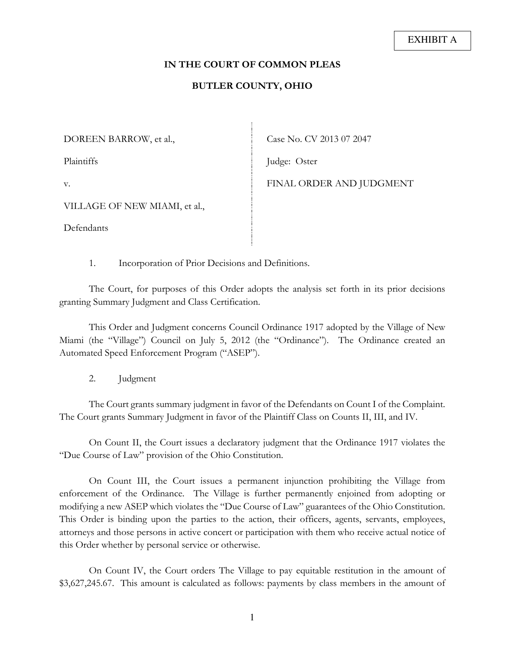#### **IN THE COURT OF COMMON PLEAS**

### **BUTLER COUNTY, OHIO**

DOREEN BARROW, et al.,

Plaintiffs

Case No. CV 2013 07 2047

Judge: Oster

v.

FINAL ORDER AND JUDGMENT

VILLAGE OF NEW MIAMI, et al.,

Defendants

1. Incorporation of Prior Decisions and Definitions.

The Court, for purposes of this Order adopts the analysis set forth in its prior decisions granting Summary Judgment and Class Certification.

This Order and Judgment concerns Council Ordinance 1917 adopted by the Village of New Miami (the "Village") Council on July 5, 2012 (the "Ordinance"). The Ordinance created an Automated Speed Enforcement Program ("ASEP").

2. Judgment

The Court grants summary judgment in favor of the Defendants on Count I of the Complaint. The Court grants Summary Judgment in favor of the Plaintiff Class on Counts II, III, and IV.

On Count II, the Court issues a declaratory judgment that the Ordinance 1917 violates the "Due Course of Law" provision of the Ohio Constitution.

On Count III, the Court issues a permanent injunction prohibiting the Village from enforcement of the Ordinance. The Village is further permanently enjoined from adopting or modifying a new ASEP which violates the "Due Course of Law" guarantees of the Ohio Constitution. This Order is binding upon the parties to the action, their officers, agents, servants, employees, attorneys and those persons in active concert or participation with them who receive actual notice of this Order whether by personal service or otherwise.

On Count IV, the Court orders The Village to pay equitable restitution in the amount of \$3,627,245.67. This amount is calculated as follows: payments by class members in the amount of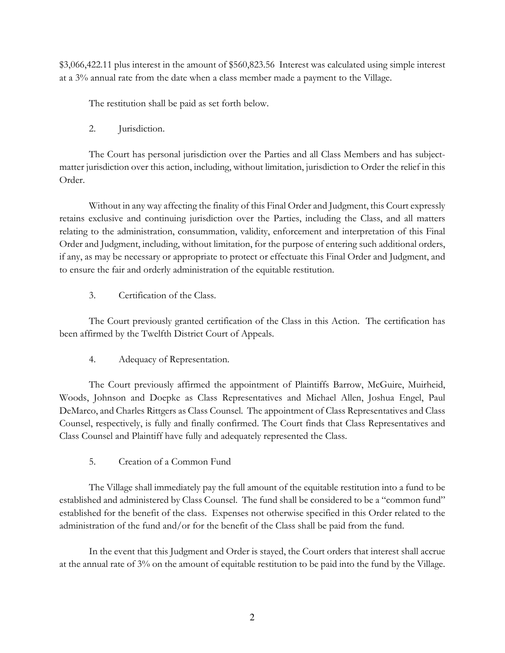\$3,066,422.11 plus interest in the amount of \$560,823.56 Interest was calculated using simple interest at a 3% annual rate from the date when a class member made a payment to the Village.

The restitution shall be paid as set forth below.

2. Jurisdiction.

The Court has personal jurisdiction over the Parties and all Class Members and has subjectmatter jurisdiction over this action, including, without limitation, jurisdiction to Order the relief in this Order.

Without in any way affecting the finality of this Final Order and Judgment, this Court expressly retains exclusive and continuing jurisdiction over the Parties, including the Class, and all matters relating to the administration, consummation, validity, enforcement and interpretation of this Final Order and Judgment, including, without limitation, for the purpose of entering such additional orders, if any, as may be necessary or appropriate to protect or effectuate this Final Order and Judgment, and to ensure the fair and orderly administration of the equitable restitution.

3. Certification of the Class.

The Court previously granted certification of the Class in this Action. The certification has been affirmed by the Twelfth District Court of Appeals.

4. Adequacy of Representation.

The Court previously affirmed the appointment of Plaintiffs Barrow, McGuire, Muirheid, Woods, Johnson and Doepke as Class Representatives and Michael Allen, Joshua Engel, Paul DeMarco, and Charles Rittgers as Class Counsel. The appointment of Class Representatives and Class Counsel, respectively, is fully and finally confirmed. The Court finds that Class Representatives and Class Counsel and Plaintiff have fully and adequately represented the Class.

5. Creation of a Common Fund

The Village shall immediately pay the full amount of the equitable restitution into a fund to be established and administered by Class Counsel. The fund shall be considered to be a "common fund" established for the benefit of the class. Expenses not otherwise specified in this Order related to the administration of the fund and/or for the benefit of the Class shall be paid from the fund.

In the event that this Judgment and Order is stayed, the Court orders that interest shall accrue at the annual rate of 3% on the amount of equitable restitution to be paid into the fund by the Village.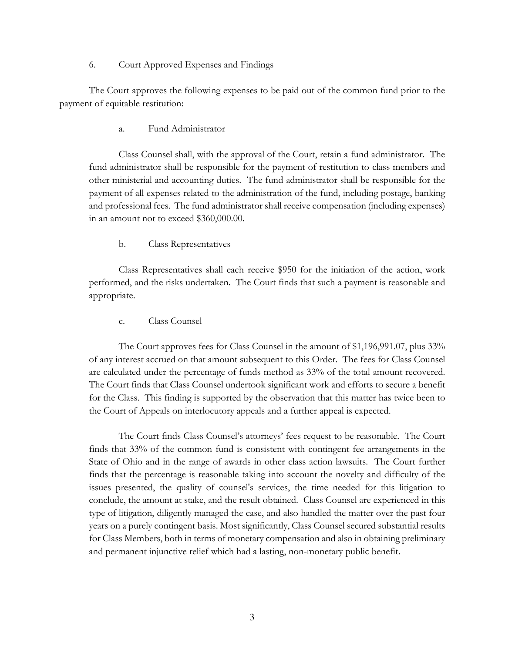#### 6. Court Approved Expenses and Findings

The Court approves the following expenses to be paid out of the common fund prior to the payment of equitable restitution:

a. Fund Administrator

Class Counsel shall, with the approval of the Court, retain a fund administrator. The fund administrator shall be responsible for the payment of restitution to class members and other ministerial and accounting duties. The fund administrator shall be responsible for the payment of all expenses related to the administration of the fund, including postage, banking and professional fees. The fund administrator shall receive compensation (including expenses) in an amount not to exceed \$360,000.00.

b. Class Representatives

Class Representatives shall each receive \$950 for the initiation of the action, work performed, and the risks undertaken. The Court finds that such a payment is reasonable and appropriate.

c. Class Counsel

The Court approves fees for Class Counsel in the amount of \$1,196,991.07, plus 33% of any interest accrued on that amount subsequent to this Order. The fees for Class Counsel are calculated under the percentage of funds method as 33% of the total amount recovered. The Court finds that Class Counsel undertook significant work and efforts to secure a benefit for the Class. This finding is supported by the observation that this matter has twice been to the Court of Appeals on interlocutory appeals and a further appeal is expected.

The Court finds Class Counsel's attorneys' fees request to be reasonable. The Court finds that 33% of the common fund is consistent with contingent fee arrangements in the State of Ohio and in the range of awards in other class action lawsuits. The Court further finds that the percentage is reasonable taking into account the novelty and difficulty of the issues presented, the quality of counsel's services, the time needed for this litigation to conclude, the amount at stake, and the result obtained. Class Counsel are experienced in this type of litigation, diligently managed the case, and also handled the matter over the past four years on a purely contingent basis. Most significantly, Class Counsel secured substantial results for Class Members, both in terms of monetary compensation and also in obtaining preliminary and permanent injunctive relief which had a lasting, non-monetary public benefit.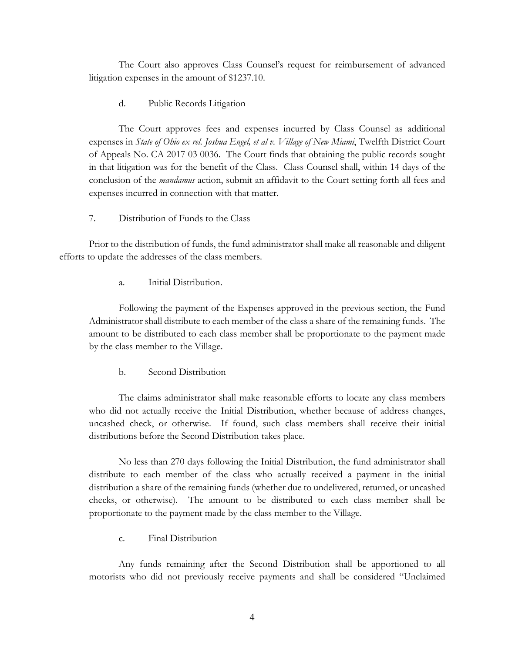The Court also approves Class Counsel's request for reimbursement of advanced litigation expenses in the amount of \$1237.10.

d. Public Records Litigation

The Court approves fees and expenses incurred by Class Counsel as additional expenses in *State of Ohio ex rel. Joshua Engel, et al v. Village of New Miami*, Twelfth District Court of Appeals No. CA 2017 03 0036. The Court finds that obtaining the public records sought in that litigation was for the benefit of the Class. Class Counsel shall, within 14 days of the conclusion of the *mandamus* action, submit an affidavit to the Court setting forth all fees and expenses incurred in connection with that matter.

7. Distribution of Funds to the Class

Prior to the distribution of funds, the fund administrator shall make all reasonable and diligent efforts to update the addresses of the class members.

a. Initial Distribution.

Following the payment of the Expenses approved in the previous section, the Fund Administrator shall distribute to each member of the class a share of the remaining funds. The amount to be distributed to each class member shall be proportionate to the payment made by the class member to the Village.

b. Second Distribution

The claims administrator shall make reasonable efforts to locate any class members who did not actually receive the Initial Distribution, whether because of address changes, uncashed check, or otherwise. If found, such class members shall receive their initial distributions before the Second Distribution takes place.

No less than 270 days following the Initial Distribution, the fund administrator shall distribute to each member of the class who actually received a payment in the initial distribution a share of the remaining funds (whether due to undelivered, returned, or uncashed checks, or otherwise). The amount to be distributed to each class member shall be proportionate to the payment made by the class member to the Village.

c. Final Distribution

Any funds remaining after the Second Distribution shall be apportioned to all motorists who did not previously receive payments and shall be considered "Unclaimed